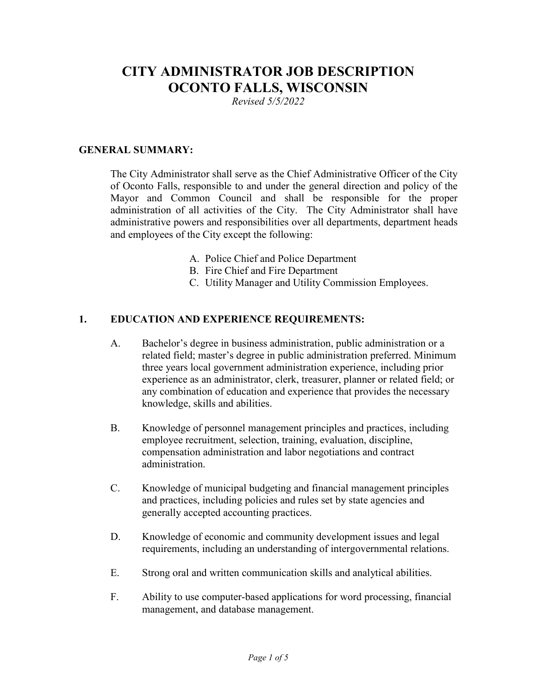# **CITY ADMINISTRATOR JOB DESCRIPTION OCONTO FALLS, WISCONSIN**

*Revised 5/5/2022*

#### **GENERAL SUMMARY:**

The City Administrator shall serve as the Chief Administrative Officer of the City of Oconto Falls, responsible to and under the general direction and policy of the Mayor and Common Council and shall be responsible for the proper administration of all activities of the City. The City Administrator shall have administrative powers and responsibilities over all departments, department heads and employees of the City except the following:

- A. Police Chief and Police Department
- B. Fire Chief and Fire Department
- C. Utility Manager and Utility Commission Employees.

### **1. EDUCATION AND EXPERIENCE REQUIREMENTS:**

- A. Bachelor's degree in business administration, public administration or a related field; master's degree in public administration preferred. Minimum three years local government administration experience, including prior experience as an administrator, clerk, treasurer, planner or related field; or any combination of education and experience that provides the necessary knowledge, skills and abilities.
- B. Knowledge of personnel management principles and practices, including employee recruitment, selection, training, evaluation, discipline, compensation administration and labor negotiations and contract administration.
- C. Knowledge of municipal budgeting and financial management principles and practices, including policies and rules set by state agencies and generally accepted accounting practices.
- D. Knowledge of economic and community development issues and legal requirements, including an understanding of intergovernmental relations.
- E. Strong oral and written communication skills and analytical abilities.
- F. Ability to use computer-based applications for word processing, financial management, and database management.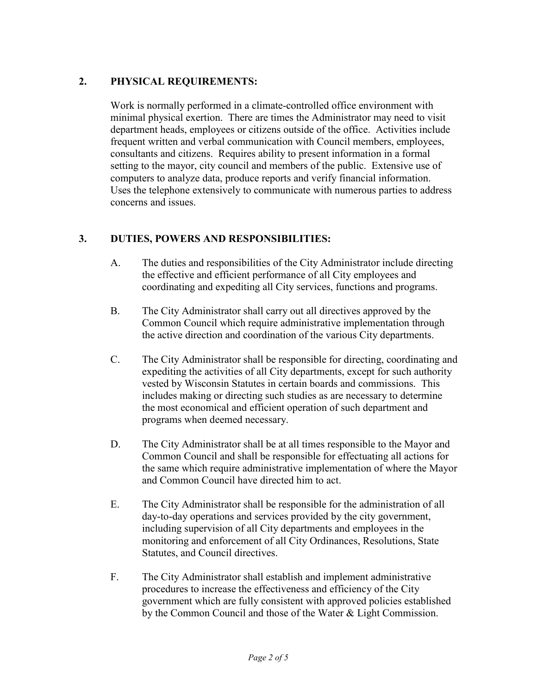### **2. PHYSICAL REQUIREMENTS:**

Work is normally performed in a climate-controlled office environment with minimal physical exertion. There are times the Administrator may need to visit department heads, employees or citizens outside of the office. Activities include frequent written and verbal communication with Council members, employees, consultants and citizens. Requires ability to present information in a formal setting to the mayor, city council and members of the public. Extensive use of computers to analyze data, produce reports and verify financial information. Uses the telephone extensively to communicate with numerous parties to address concerns and issues.

## **3. DUTIES, POWERS AND RESPONSIBILITIES:**

- A. The duties and responsibilities of the City Administrator include directing the effective and efficient performance of all City employees and coordinating and expediting all City services, functions and programs.
- B. The City Administrator shall carry out all directives approved by the Common Council which require administrative implementation through the active direction and coordination of the various City departments.
- C. The City Administrator shall be responsible for directing, coordinating and expediting the activities of all City departments, except for such authority vested by Wisconsin Statutes in certain boards and commissions. This includes making or directing such studies as are necessary to determine the most economical and efficient operation of such department and programs when deemed necessary.
- D. The City Administrator shall be at all times responsible to the Mayor and Common Council and shall be responsible for effectuating all actions for the same which require administrative implementation of where the Mayor and Common Council have directed him to act.
- E. The City Administrator shall be responsible for the administration of all day-to-day operations and services provided by the city government, including supervision of all City departments and employees in the monitoring and enforcement of all City Ordinances, Resolutions, State Statutes, and Council directives.
- F. The City Administrator shall establish and implement administrative procedures to increase the effectiveness and efficiency of the City government which are fully consistent with approved policies established by the Common Council and those of the Water & Light Commission.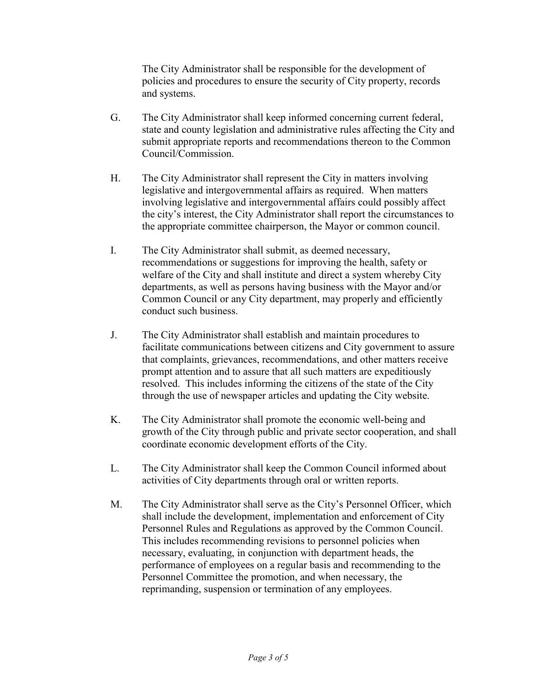The City Administrator shall be responsible for the development of policies and procedures to ensure the security of City property, records and systems.

- G. The City Administrator shall keep informed concerning current federal, state and county legislation and administrative rules affecting the City and submit appropriate reports and recommendations thereon to the Common Council/Commission.
- H. The City Administrator shall represent the City in matters involving legislative and intergovernmental affairs as required. When matters involving legislative and intergovernmental affairs could possibly affect the city's interest, the City Administrator shall report the circumstances to the appropriate committee chairperson, the Mayor or common council.
- I. The City Administrator shall submit, as deemed necessary, recommendations or suggestions for improving the health, safety or welfare of the City and shall institute and direct a system whereby City departments, as well as persons having business with the Mayor and/or Common Council or any City department, may properly and efficiently conduct such business.
- J. The City Administrator shall establish and maintain procedures to facilitate communications between citizens and City government to assure that complaints, grievances, recommendations, and other matters receive prompt attention and to assure that all such matters are expeditiously resolved. This includes informing the citizens of the state of the City through the use of newspaper articles and updating the City website.
- K. The City Administrator shall promote the economic well-being and growth of the City through public and private sector cooperation, and shall coordinate economic development efforts of the City.
- L. The City Administrator shall keep the Common Council informed about activities of City departments through oral or written reports.
- M. The City Administrator shall serve as the City's Personnel Officer, which shall include the development, implementation and enforcement of City Personnel Rules and Regulations as approved by the Common Council. This includes recommending revisions to personnel policies when necessary, evaluating, in conjunction with department heads, the performance of employees on a regular basis and recommending to the Personnel Committee the promotion, and when necessary, the reprimanding, suspension or termination of any employees.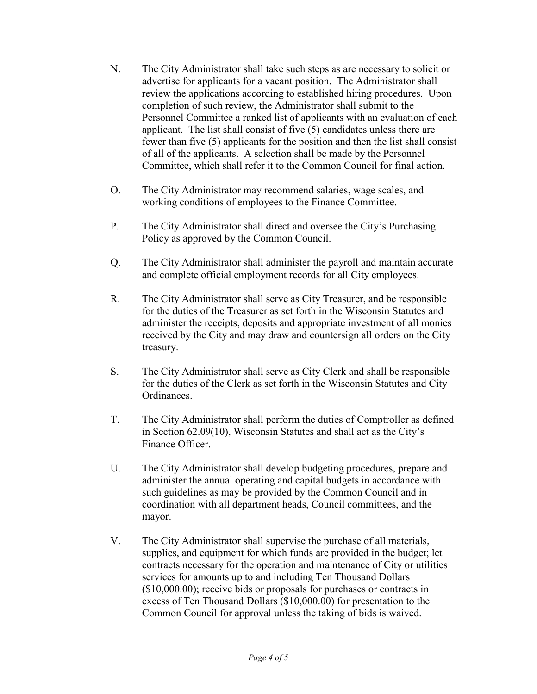- N. The City Administrator shall take such steps as are necessary to solicit or advertise for applicants for a vacant position. The Administrator shall review the applications according to established hiring procedures. Upon completion of such review, the Administrator shall submit to the Personnel Committee a ranked list of applicants with an evaluation of each applicant. The list shall consist of five (5) candidates unless there are fewer than five (5) applicants for the position and then the list shall consist of all of the applicants. A selection shall be made by the Personnel Committee, which shall refer it to the Common Council for final action.
- O. The City Administrator may recommend salaries, wage scales, and working conditions of employees to the Finance Committee.
- P. The City Administrator shall direct and oversee the City's Purchasing Policy as approved by the Common Council.
- Q. The City Administrator shall administer the payroll and maintain accurate and complete official employment records for all City employees.
- R. The City Administrator shall serve as City Treasurer, and be responsible for the duties of the Treasurer as set forth in the Wisconsin Statutes and administer the receipts, deposits and appropriate investment of all monies received by the City and may draw and countersign all orders on the City treasury.
- S. The City Administrator shall serve as City Clerk and shall be responsible for the duties of the Clerk as set forth in the Wisconsin Statutes and City Ordinances.
- T. The City Administrator shall perform the duties of Comptroller as defined in Section 62.09(10), Wisconsin Statutes and shall act as the City's Finance Officer.
- U. The City Administrator shall develop budgeting procedures, prepare and administer the annual operating and capital budgets in accordance with such guidelines as may be provided by the Common Council and in coordination with all department heads, Council committees, and the mayor.
- V. The City Administrator shall supervise the purchase of all materials, supplies, and equipment for which funds are provided in the budget; let contracts necessary for the operation and maintenance of City or utilities services for amounts up to and including Ten Thousand Dollars (\$10,000.00); receive bids or proposals for purchases or contracts in excess of Ten Thousand Dollars (\$10,000.00) for presentation to the Common Council for approval unless the taking of bids is waived.